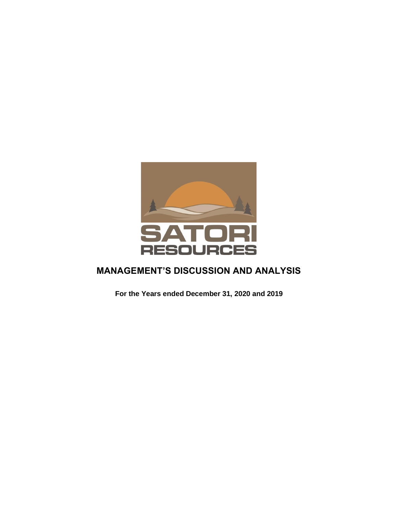

# **MANAGEMENT'S DISCUSSION AND ANALYSIS**

**For the Years ended December 31, 2020 and 2019**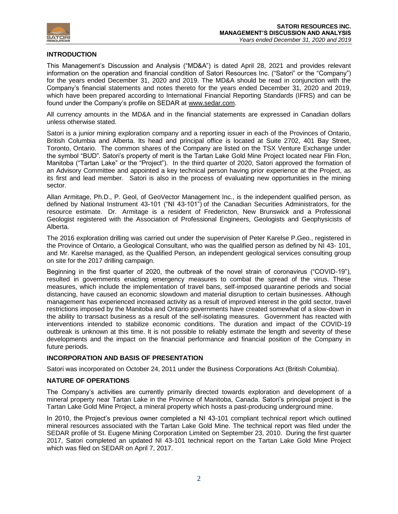

# **INTRODUCTION**

This Management's Discussion and Analysis ("MD&A") is dated April 28, 2021 and provides relevant information on the operation and financial condition of Satori Resources Inc. ("Satori" or the "Company") for the years ended December 31, 2020 and 2019. The MD&A should be read in conjunction with the Company's financial statements and notes thereto for the years ended December 31, 2020 and 2019, which have been prepared according to International Financial Reporting Standards (IFRS) and can be found under the Company's profile on SEDAR at [www.sedar.com.](http://www.sedar.com/)

All currency amounts in the MD&A and in the financial statements are expressed in Canadian dollars unless otherwise stated.

Satori is a junior mining exploration company and a reporting issuer in each of the Provinces of Ontario, British Columbia and Alberta. Its head and principal office is located at Suite 2702, 401 Bay Street, Toronto, Ontario. The common shares of the Company are listed on the TSX Venture Exchange under the symbol "BUD". Satori's property of merit is the Tartan Lake Gold Mine Project located near Flin Flon, Manitoba ("Tartan Lake" or the "Project"). In the third quarter of 2020, Satori approved the formation of an Advisory Committee and appointed a key technical person having prior experience at the Project, as its first and lead member. Satori is also in the process of evaluating new opportunities in the mining sector.

Allan Armitage, Ph.D., P. Geol, of GeoVector Management Inc., is the independent qualified person, as defined by National Instrument 43-101 ("NI 43-101") of the Canadian Securities Administrators, for the resource estimate. Dr. Armitage is a resident of Fredericton, New Brunswick and a Professional Geologist registered with the Association of Professional Engineers, Geologists and Geophysicists of Alberta.

The 2016 exploration drilling was carried out under the supervision of Peter Karelse P.Geo., registered in the Province of Ontario, a Geological Consultant, who was the qualified person as defined by NI 43- 101, and Mr. Karelse managed, as the Qualified Person, an independent geological services consulting group on site for the 2017 drilling campaign.

Beginning in the first quarter of 2020, the outbreak of the novel strain of coronavirus ("COVID-19"), resulted in governments enacting emergency measures to combat the spread of the virus. These measures, which include the implementation of travel bans, self-imposed quarantine periods and social distancing, have caused an economic slowdown and material disruption to certain businesses. Although management has experienced increased activity as a result of improved interest in the gold sector, travel restrictions imposed by the Manitoba and Ontario governments have created somewhat of a slow-down in the ability to transact business as a result of the self-isolating measures. Government has reacted with interventions intended to stabilize economic conditions. The duration and impact of the COVID-19 outbreak is unknown at this time. It is not possible to reliably estimate the length and severity of these developments and the impact on the financial performance and financial position of the Company in future periods.

# **INCORPORATION AND BASIS OF PRESENTATION**

Satori was incorporated on October 24, 2011 under the Business Corporations Act (British Columbia).

# **NATURE OF OPERATIONS**

The Company's activities are currently primarily directed towards exploration and development of a mineral property near Tartan Lake in the Province of Manitoba, Canada. Satori's principal project is the Tartan Lake Gold Mine Project, a mineral property which hosts a past-producing underground mine.

In 2010, the Project's previous owner completed a NI 43-101 compliant technical report which outlined mineral resources associated with the Tartan Lake Gold Mine. The technical report was filed under the SEDAR profile of St. Eugene Mining Corporation Limited on September 23, 2010. During the first quarter 2017, Satori completed an updated NI 43-101 technical report on the Tartan Lake Gold Mine Project which was filed on SEDAR on April 7, 2017.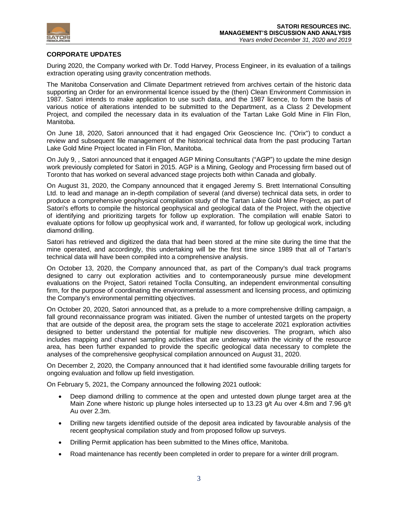

# **CORPORATE UPDATES**

During 2020, the Company worked with Dr. Todd Harvey, Process Engineer, in its evaluation of a tailings extraction operating using gravity concentration methods.

The Manitoba Conservation and Climate Department retrieved from archives certain of the historic data supporting an Order for an environmental licence issued by the (then) Clean Environment Commission in 1987. Satori intends to make application to use such data, and the 1987 licence, to form the basis of various notice of alterations intended to be submitted to the Department, as a Class 2 Development Project, and compiled the necessary data in its evaluation of the Tartan Lake Gold Mine in Flin Flon, Manitoba.

On June 18, 2020, Satori announced that it had engaged Orix Geoscience Inc. ("Orix") to conduct a review and subsequent file management of the historical technical data from the past producing Tartan Lake Gold Mine Project located in Flin Flon, Manitoba.

On July 9, , Satori announced that it engaged AGP Mining Consultants ("AGP") to update the mine design work previously completed for Satori in 2015. AGP is a Mining, Geology and Processing firm based out of Toronto that has worked on several advanced stage projects both within Canada and globally.

On August 31, 2020, the Company announced that it engaged Jeremy S. Brett International Consulting Ltd. to lead and manage an in-depth compilation of several (and diverse) technical data sets, in order to produce a comprehensive geophysical compilation study of the Tartan Lake Gold Mine Project, as part of Satori's efforts to compile the historical geophysical and geological data of the Project, with the objective of identifying and prioritizing targets for follow up exploration. The compilation will enable Satori to evaluate options for follow up geophysical work and, if warranted, for follow up geological work, including diamond drilling.

Satori has retrieved and digitized the data that had been stored at the mine site during the time that the mine operated, and accordingly, this undertaking will be the first time since 1989 that all of Tartan's technical data will have been compiled into a comprehensive analysis.

On October 13, 2020, the Company announced that, as part of the Company's dual track programs designed to carry out exploration activities and to contemporaneously pursue mine development evaluations on the Project, Satori retained Toclla Consulting, an independent environmental consulting firm, for the purpose of coordinating the environmental assessment and licensing process, and optimizing the Company's environmental permitting objectives.

On October 20, 2020, Satori announced that, as a prelude to a more comprehensive drilling campaign, a fall ground reconnaissance program was initiated. Given the number of untested targets on the property that are outside of the deposit area, the program sets the stage to accelerate 2021 exploration activities designed to better understand the potential for multiple new discoveries. The program, which also includes mapping and channel sampling activities that are underway within the vicinity of the resource area, has been further expanded to provide the specific geological data necessary to complete the analyses of the comprehensive geophysical compilation announced on August 31, 2020.

On December 2, 2020, the Company announced that it had identified some favourable drilling targets for ongoing evaluation and follow up field investigation.

On February 5, 2021, the Company announced the following 2021 outlook:

- Deep diamond drilling to commence at the open and untested down plunge target area at the Main Zone where historic up plunge holes intersected up to 13.23 g/t Au over 4.8m and 7.96 g/t Au over 2.3m.
- Drilling new targets identified outside of the deposit area indicated by favourable analysis of the recent geophysical compilation study and from proposed follow up surveys.
- Drilling Permit application has been submitted to the Mines office, Manitoba.
- Road maintenance has recently been completed in order to prepare for a winter drill program.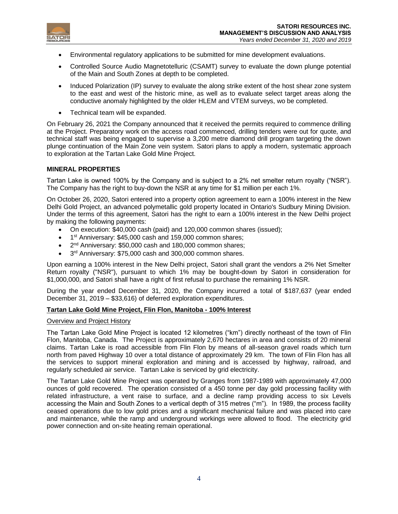

- Environmental regulatory applications to be submitted for mine development evaluations.
- Controlled Source Audio Magnetotelluric (CSAMT) survey to evaluate the down plunge potential of the Main and South Zones at depth to be completed.
- Induced Polarization (IP) survey to evaluate the along strike extent of the host shear zone system to the east and west of the historic mine, as well as to evaluate select target areas along the conductive anomaly highlighted by the older HLEM and VTEM surveys, wo be completed.
- Technical team will be expanded.

On February 26, 2021 the Company announced that it received the permits required to commence drilling at the Project. Preparatory work on the access road commenced, drilling tenders were out for quote, and technical staff was being engaged to supervise a 3,200 metre diamond drill program targeting the down plunge continuation of the Main Zone vein system. Satori plans to apply a modern, systematic approach to exploration at the Tartan Lake Gold Mine Project.

# **MINERAL PROPERTIES**

Tartan Lake is owned 100% by the Company and is subject to a 2% net smelter return royalty ("NSR"). The Company has the right to buy-down the NSR at any time for \$1 million per each 1%.

On October 26, 2020, Satori entered into a property option agreement to earn a 100% interest in the New Delhi Gold Project, an advanced polymetallic gold property located in Ontario's Sudbury Mining Division. Under the terms of this agreement, Satori has the right to earn a 100% interest in the New Delhi project by making the following payments:

- On execution: \$40,000 cash (paid) and 120,000 common shares (issued);
- 1<sup>st</sup> Anniversary: \$45,000 cash and 159,000 common shares;
- 2<sup>nd</sup> Anniversary: \$50,000 cash and 180,000 common shares;
- $\bullet$  3<sup>rd</sup> Anniversary: \$75,000 cash and 300,000 common shares.

Upon earning a 100% interest in the New Delhi project, Satori shall grant the vendors a 2% Net Smelter Return royalty ("NSR"), pursuant to which 1% may be bought-down by Satori in consideration for \$1,000,000, and Satori shall have a right of first refusal to purchase the remaining 1% NSR.

During the year ended December 31, 2020, the Company incurred a total of \$187,637 (year ended December 31, 2019 – \$33,616) of deferred exploration expenditures.

# **Tartan Lake Gold Mine Project, Flin Flon, Manitoba - 100% Interest**

#### Overview and Project History

The Tartan Lake Gold Mine Project is located 12 kilometres ("km") directly northeast of the town of Flin Flon, Manitoba, Canada. The Project is approximately 2,670 hectares in area and consists of 20 mineral claims. Tartan Lake is road accessible from Flin Flon by means of all-season gravel roads which turn north from paved Highway 10 over a total distance of approximately 29 km. The town of Flin Flon has all the services to support mineral exploration and mining and is accessed by highway, railroad, and regularly scheduled air service. Tartan Lake is serviced by grid electricity.

The Tartan Lake Gold Mine Project was operated by Granges from 1987-1989 with approximately 47,000 ounces of gold recovered. The operation consisted of a 450 tonne per day gold processing facility with related infrastructure, a vent raise to surface, and a decline ramp providing access to six Levels accessing the Main and South Zones to a vertical depth of 315 metres ("m"). In 1989, the process facility ceased operations due to low gold prices and a significant mechanical failure and was placed into care and maintenance, while the ramp and underground workings were allowed to flood. The electricity grid power connection and on-site heating remain operational.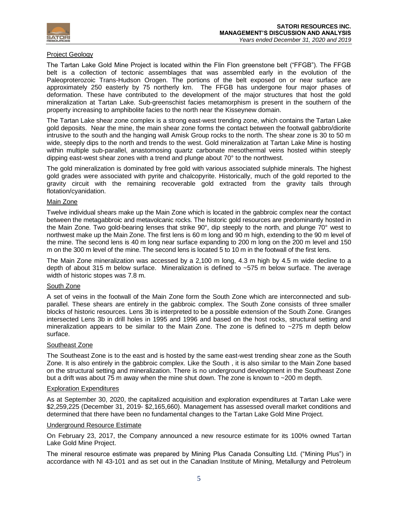

# Project Geology

The Tartan Lake Gold Mine Project is located within the Flin Flon greenstone belt ("FFGB"). The FFGB belt is a collection of tectonic assemblages that was assembled early in the evolution of the Paleoproterozoic Trans-Hudson Orogen. The portions of the belt exposed on or near surface are approximately 250 easterly by 75 northerly km. The FFGB has undergone four major phases of deformation. These have contributed to the development of the major structures that host the gold mineralization at Tartan Lake. Sub-greenschist facies metamorphism is present in the southern of the property increasing to amphibolite facies to the north near the Kisseynew domain.

The Tartan Lake shear zone complex is a strong east-west trending zone, which contains the Tartan Lake gold deposits. Near the mine, the main shear zone forms the contact between the footwall gabbro/diorite intrusive to the south and the hanging wall Amisk Group rocks to the north. The shear zone is 30 to 50 m wide, steeply dips to the north and trends to the west. Gold mineralization at Tartan Lake Mine is hosting within multiple sub-parallel, anastomosing quartz carbonate mesothermal veins hosted within steeply dipping east-west shear zones with a trend and plunge about 70° to the northwest.

The gold mineralization is dominated by free gold with various associated sulphide minerals. The highest gold grades were associated with pyrite and chalcopyrite. Historically, much of the gold reported to the gravity circuit with the remaining recoverable gold extracted from the gravity tails through flotation/cyanidation.

# Main Zone

Twelve individual shears make up the Main Zone which is located in the gabbroic complex near the contact between the metagabbroic and metavolcanic rocks. The historic gold resources are predominantly hosted in the Main Zone. Two gold-bearing lenses that strike 90°, dip steeply to the north, and plunge 70° west to northwest make up the Main Zone. The first lens is 60 m long and 90 m high, extending to the 90 m level of the mine. The second lens is 40 m long near surface expanding to 200 m long on the 200 m level and 150 m on the 300 m level of the mine. The second lens is located 5 to 10 m in the footwall of the first lens.

The Main Zone mineralization was accessed by a 2,100 m long, 4.3 m high by 4.5 m wide decline to a depth of about 315 m below surface. Mineralization is defined to ~575 m below surface. The average width of historic stopes was 7.8 m.

# South Zone

A set of veins in the footwall of the Main Zone form the South Zone which are interconnected and subparallel. These shears are entirely in the gabbroic complex. The South Zone consists of three smaller blocks of historic resources. Lens 3b is interpreted to be a possible extension of the South Zone. Granges intersected Lens 3b in drill holes in 1995 and 1996 and based on the host rocks, structural setting and mineralization appears to be similar to the Main Zone. The zone is defined to  $\sim$ 275 m depth below surface.

# Southeast Zone

The Southeast Zone is to the east and is hosted by the same east-west trending shear zone as the South Zone. It is also entirely in the gabbroic complex. Like the South , it is also similar to the Main Zone based on the structural setting and mineralization. There is no underground development in the Southeast Zone but a drift was about 75 m away when the mine shut down. The zone is known to ~200 m depth.

# Exploration Expenditures

As at September 30, 2020, the capitalized acquisition and exploration expenditures at Tartan Lake were \$2,259,225 (December 31, 2019- \$2,165,660). Management has assessed overall market conditions and determined that there have been no fundamental changes to the Tartan Lake Gold Mine Project.

# Underground Resource Estimate

On February 23, 2017, the Company announced a new resource estimate for its 100% owned Tartan Lake Gold Mine Project.

The mineral resource estimate was prepared by Mining Plus Canada Consulting Ltd. ("Mining Plus") in accordance with NI 43-101 and as set out in the Canadian Institute of Mining, Metallurgy and Petroleum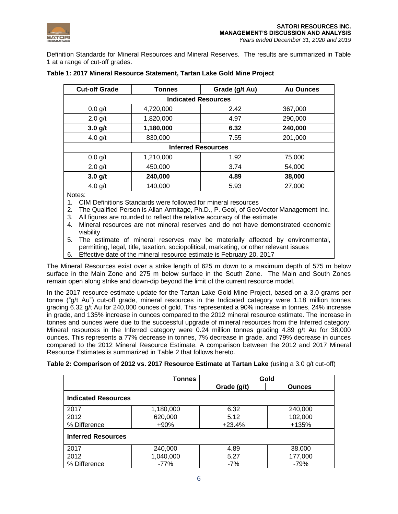

Definition Standards for Mineral Resources and Mineral Reserves. The results are summarized in Table 1 at a range of cut-off grades.

| <b>Cut-off Grade</b> | <b>Tonnes</b>              | Grade (g/t Au) | <b>Au Ounces</b> |  |  |  |  |
|----------------------|----------------------------|----------------|------------------|--|--|--|--|
|                      | <b>Indicated Resources</b> |                |                  |  |  |  |  |
| 0.0 g/t              | 4,720,000                  | 2.42           | 367,000          |  |  |  |  |
| $2.0$ g/t            | 1,820,000                  | 4.97           | 290,000          |  |  |  |  |
| $3.0$ g/t            | 1,180,000                  | 6.32           | 240,000          |  |  |  |  |
| 4.0 $g/t$            | 830,000                    | 7.55           | 201,000          |  |  |  |  |
|                      | <b>Inferred Resources</b>  |                |                  |  |  |  |  |
| $0.0$ g/t            | 1,210,000                  | 1.92           | 75,000           |  |  |  |  |
| $2.0$ g/t            | 450,000                    | 3.74           | 54,000           |  |  |  |  |
| $3.0$ g/t            | 240,000                    | 4.89           | 38,000           |  |  |  |  |
| 4.0 $g/t$            | 140,000                    | 5.93           | 27,000           |  |  |  |  |
| Notes:               |                            |                |                  |  |  |  |  |

# **Table 1: 2017 Mineral Resource Statement, Tartan Lake Gold Mine Project**

Notes:

1. CIM Definitions Standards were followed for mineral resources

- 2. The Qualified Person is Allan Armitage, Ph.D., P. Geol, of GeoVector Management Inc.
- 3. All figures are rounded to reflect the relative accuracy of the estimate
- 4. Mineral resources are not mineral reserves and do not have demonstrated economic viability
- 5. The estimate of mineral reserves may be materially affected by environmental, permitting, legal, title, taxation, sociopolitical, marketing, or other relevant issues
- 6. Effective date of the mineral resource estimate is February 20, 2017

The Mineral Resources exist over a strike length of 625 m down to a maximum depth of 575 m below surface in the Main Zone and 275 m below surface in the South Zone. The Main and South Zones remain open along strike and down-dip beyond the limit of the current resource model.

In the 2017 resource estimate update for the Tartan Lake Gold Mine Project, based on a 3.0 grams per tonne ("g/t Au") cut-off grade, mineral resources in the Indicated category were 1.18 million tonnes grading 6.32 g/t Au for 240,000 ounces of gold. This represented a 90% increase in tonnes, 24% increase in grade, and 135% increase in ounces compared to the 2012 mineral resource estimate. The increase in tonnes and ounces were due to the successful upgrade of mineral resources from the Inferred category. Mineral resources in the Inferred category were 0.24 million tonnes grading 4.89 g/t Au for 38,000 ounces. This represents a 77% decrease in tonnes, 7% decrease in grade, and 79% decrease in ounces compared to the 2012 Mineral Resource Estimate. A comparison between the 2012 and 2017 Mineral Resource Estimates is summarized in Table 2 that follows hereto.

|  |  | Table 2: Comparison of 2012 vs. 2017 Resource Estimate at Tartan Lake (using a 3.0 g/t cut-off) |  |  |  |  |
|--|--|-------------------------------------------------------------------------------------------------|--|--|--|--|
|--|--|-------------------------------------------------------------------------------------------------|--|--|--|--|

|                            | <b>Tonnes</b> | Gold        |               |
|----------------------------|---------------|-------------|---------------|
|                            |               | Grade (g/t) | <b>Ounces</b> |
| <b>Indicated Resources</b> |               |             |               |
| 2017                       | 1,180,000     | 6.32        | 240,000       |
| 2012                       | 620,000       | 5.12        | 102,000       |
| % Difference               | $+90\%$       | $+23.4%$    | +135%         |
| <b>Inferred Resources</b>  |               |             |               |
| 2017                       | 240,000       | 4.89        | 38,000        |
| 2012                       | 1,040,000     | 5.27        | 177,000       |
| % Difference               | $-77%$        | $-7%$       | $-79%$        |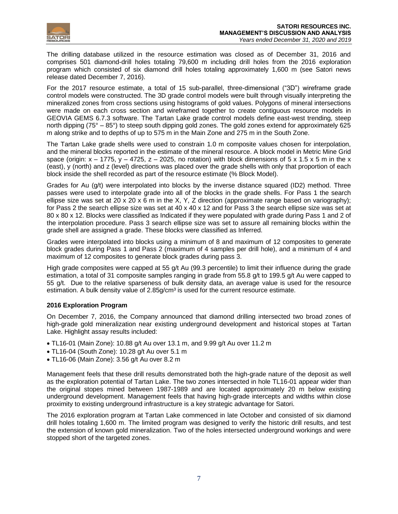

The drilling database utilized in the resource estimation was closed as of December 31, 2016 and comprises 501 diamond-drill holes totaling 79,600 m including drill holes from the 2016 exploration program which consisted of six diamond drill holes totaling approximately 1,600 m (see Satori news release dated December 7, 2016).

For the 2017 resource estimate, a total of 15 sub-parallel, three-dimensional ("3D") wireframe grade control models were constructed. The 3D grade control models were built through visually interpreting the mineralized zones from cross sections using histograms of gold values. Polygons of mineral intersections were made on each cross section and wireframed together to create contiguous resource models in GEOVIA GEMS 6.7.3 software. The Tartan Lake grade control models define east-west trending, steep north dipping (75° – 85°) to steep south dipping gold zones. The gold zones extend for approximately 625 m along strike and to depths of up to 575 m in the Main Zone and 275 m in the South Zone.

The Tartan Lake grade shells were used to constrain 1.0 m composite values chosen for interpolation, and the mineral blocks reported in the estimate of the mineral resource. A block model in Metric Mine Grid space (origin:  $x - 1775$ ,  $y - 4725$ ,  $z - 2025$ , no rotation) with block dimensions of  $5 \times 1.5 \times 5$  m in the x (east), y (north) and z (level) directions was placed over the grade shells with only that proportion of each block inside the shell recorded as part of the resource estimate (% Block Model).

Grades for Au (g/t) were interpolated into blocks by the inverse distance squared (ID2) method. Three passes were used to interpolate grade into all of the blocks in the grade shells. For Pass 1 the search ellipse size was set at 20 x 20 x 6 m in the X, Y, Z direction (approximate range based on variography); for Pass 2 the search ellipse size was set at 40 x 40 x 12 and for Pass 3 the search ellipse size was set at 80 x 80 x 12. Blocks were classified as Indicated if they were populated with grade during Pass 1 and 2 of the interpolation procedure. Pass 3 search ellipse size was set to assure all remaining blocks within the grade shell are assigned a grade. These blocks were classified as Inferred.

Grades were interpolated into blocks using a minimum of 8 and maximum of 12 composites to generate block grades during Pass 1 and Pass 2 (maximum of 4 samples per drill hole), and a minimum of 4 and maximum of 12 composites to generate block grades during pass 3.

High grade composites were capped at 55 g/t Au (99.3 percentile) to limit their influence during the grade estimation, a total of 31 composite samples ranging in grade from 55.8 g/t to 199.5 g/t Au were capped to 55 g/t. Due to the relative sparseness of bulk density data, an average value is used for the resource estimation. A bulk density value of  $2.85q/cm<sup>3</sup>$  is used for the current resource estimate.

# **2016 Exploration Program**

On December 7, 2016, the Company announced that diamond drilling intersected two broad zones of high-grade gold mineralization near existing underground development and historical stopes at Tartan Lake. Highlight assay results included:

- TL16-01 (Main Zone): 10.88 g/t Au over 13.1 m, and 9.99 g/t Au over 11.2 m
- TL16-04 (South Zone): 10.28 g/t Au over 5.1 m
- TL16-06 (Main Zone): 3.56 g/t Au over 8.2 m

Management feels that these drill results demonstrated both the high-grade nature of the deposit as well as the exploration potential of Tartan Lake. The two zones intersected in hole TL16-01 appear wider than the original stopes mined between 1987-1989 and are located approximately 20 m below existing underground development. Management feels that having high-grade intercepts and widths within close proximity to existing underground infrastructure is a key strategic advantage for Satori.

The 2016 exploration program at Tartan Lake commenced in late October and consisted of six diamond drill holes totaling 1,600 m. The limited program was designed to verify the historic drill results, and test the extension of known gold mineralization. Two of the holes intersected underground workings and were stopped short of the targeted zones.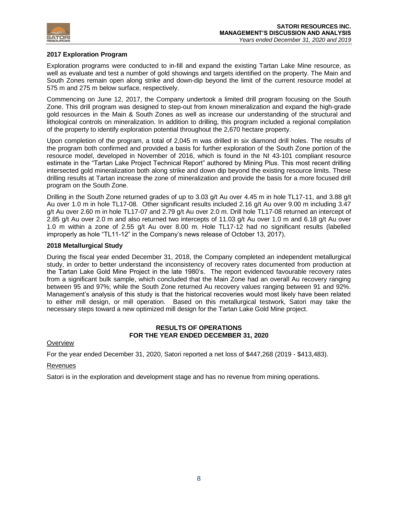

# **2017 Exploration Program**

Exploration programs were conducted to in-fill and expand the existing Tartan Lake Mine resource, as well as evaluate and test a number of gold showings and targets identified on the property. The Main and South Zones remain open along strike and down-dip beyond the limit of the current resource model at 575 m and 275 m below surface, respectively.

Commencing on June 12, 2017, the Company undertook a limited drill program focusing on the South Zone. This drill program was designed to step-out from known mineralization and expand the high-grade gold resources in the Main & South Zones as well as increase our understanding of the structural and lithological controls on mineralization. In addition to drilling, this program included a regional compilation of the property to identify exploration potential throughout the 2,670 hectare property.

Upon completion of the program, a total of 2,045 m was drilled in six diamond drill holes. The results of the program both confirmed and provided a basis for further exploration of the South Zone portion of the resource model, developed in November of 2016, which is found in the NI 43-101 compliant resource estimate in the "Tartan Lake Project Technical Report" authored by Mining Plus. This most recent drilling intersected gold mineralization both along strike and down dip beyond the existing resource limits. These drilling results at Tartan increase the zone of mineralization and provide the basis for a more focused drill program on the South Zone.

Drilling in the South Zone returned grades of up to 3.03 g/t Au over 4.45 m in hole TL17-11, and 3.88 g/t Au over 1.0 m in hole TL17-08. Other significant results included 2.16 g/t Au over 9.00 m including 3.47 g/t Au over 2.60 m in hole TL17-07 and 2.79 g/t Au over 2.0 m. Drill hole TL17-08 returned an intercept of 2.85 g/t Au over 2.0 m and also returned two intercepts of 11.03 g/t Au over 1.0 m and 6.18 g/t Au over 1.0 m within a zone of 2.55 g/t Au over 8.00 m. Hole TL17-12 had no significant results (labelled improperly as hole "TL11-12" in the Company's news release of October 13, 2017).

# **2018 Metallurgical Study**

During the fiscal year ended December 31, 2018, the Company completed an independent metallurgical study, in order to better understand the inconsistency of recovery rates documented from production at the Tartan Lake Gold Mine Project in the late 1980's. The report evidenced favourable recovery rates from a significant bulk sample, which concluded that the Main Zone had an overall Au recovery ranging between 95 and 97%; while the South Zone returned Au recovery values ranging between 91 and 92%. Management's analysis of this study is that the historical recoveries would most likely have been related to either mill design, or mill operation. Based on this metallurgical testwork, Satori may take the necessary steps toward a new optimized mill design for the Tartan Lake Gold Mine project.

# **RESULTS OF OPERATIONS FOR THE YEAR ENDED DECEMBER 31, 2020**

# **Overview**

For the year ended December 31, 2020, Satori reported a net loss of \$447,268 (2019 - \$413,483).

# **Revenues**

Satori is in the exploration and development stage and has no revenue from mining operations.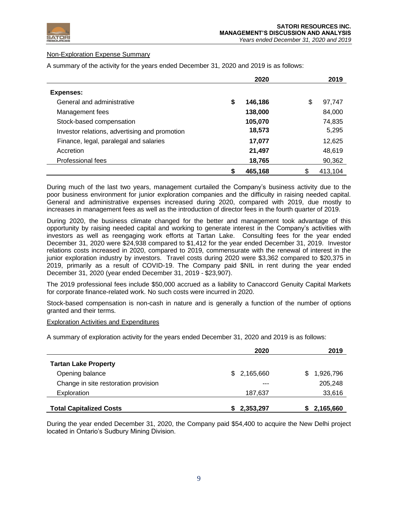

# Non-Exploration Expense Summary

A summary of the activity for the years ended December 31, 2020 and 2019 is as follows:

|                                               | 2020          | 2019         |
|-----------------------------------------------|---------------|--------------|
| <b>Expenses:</b>                              |               |              |
| General and administrative                    | \$<br>146,186 | \$<br>97,747 |
| Management fees                               | 138,000       | 84,000       |
| Stock-based compensation                      | 105,070       | 74,835       |
| Investor relations, advertising and promotion | 18,573        | 5,295        |
| Finance, legal, paralegal and salaries        | 17,077        | 12,625       |
| Accretion                                     | 21,497        | 48,619       |
| Professional fees                             | 18,765        | 90,362       |
|                                               | \$<br>465,168 | 413,104      |

During much of the last two years, management curtailed the Company's business activity due to the poor business environment for junior exploration companies and the difficulty in raising needed capital. General and administrative expenses increased during 2020, compared with 2019, due mostly to increases in management fees as well as the introduction of director fees in the fourth quarter of 2019.

During 2020, the business climate changed for the better and management took advantage of this opportunity by raising needed capital and working to generate interest in the Company's activities with investors as well as reengaging work efforts at Tartan Lake. Consulting fees for the year ended December 31, 2020 were \$24,938 compared to \$1,412 for the year ended December 31, 2019. Investor relations costs increased in 2020, compared to 2019, commensurate with the renewal of interest in the junior exploration industry by investors. Travel costs during 2020 were \$3,362 compared to \$20,375 in 2019, primarily as a result of COVID-19. The Company paid \$NIL in rent during the year ended December 31, 2020 (year ended December 31, 2019 - \$23,907).

The 2019 professional fees include \$50,000 accrued as a liability to Canaccord Genuity Capital Markets for corporate finance-related work. No such costs were incurred in 2020.

Stock-based compensation is non-cash in nature and is generally a function of the number of options granted and their terms.

#### Exploration Activities and Expenditures

A summary of exploration activity for the years ended December 31, 2020 and 2019 is as follows:

|                                      | 2020            | 2019           |
|--------------------------------------|-----------------|----------------|
| <b>Tartan Lake Property</b>          |                 |                |
| Opening balance                      | \$2,165,660     | 1,926,796<br>S |
| Change in site restoration provision | ---             | 205,248        |
| Exploration                          | 187,637         | 33,616         |
| <b>Total Capitalized Costs</b>       | 2,353,297<br>S. | 2,165,660<br>5 |

During the year ended December 31, 2020, the Company paid \$54,400 to acquire the New Delhi project located in Ontario's Sudbury Mining Division.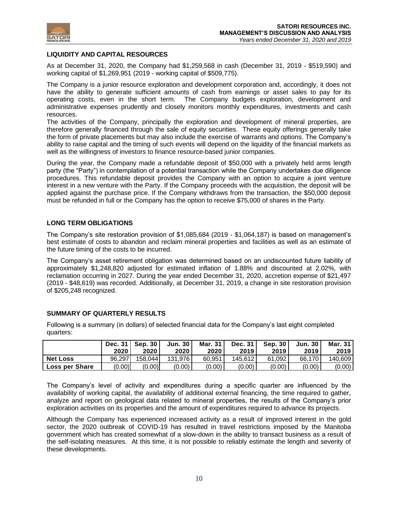

# **LIQUIDITY AND CAPITAL RESOURCES**

As at December 31, 2020, the Company had \$1,259,568 in cash (December 31, 2019 - \$519,590) and working capital of \$1,269,951 (2019 - working capital of \$509,775).

The Company is a junior resource exploration and development corporation and, accordingly, it does not have the ability to generate sufficient amounts of cash from earnings or asset sales to pay for its operating costs, even in the short term. The Company budgets exploration, development and administrative expenses prudently and closely monitors monthly expenditures, investments and cash resources.

The activities of the Company, principally the exploration and development of mineral properties, are therefore generally financed through the sale of equity securities. These equity offerings generally take the form of private placements but may also include the exercise of warrants and options. The Company's ability to raise capital and the timing of such events will depend on the liquidity of the financial markets as well as the willingness of investors to finance resource-based junior companies.

During the year, the Company made a refundable deposit of \$50,000 with a privately held arms length party (the "Party") in contemplation of a potential transaction while the Company undertakes due diligence procedures. This refundable deposit provides the Company with an option to acquire a joint venture interest in a new venture with the Party. If the Company proceeds with the acquisition, the deposit will be applied against the purchase price. If the Company withdraws from the transaction, the \$50,000 deposit must be refunded in full or the Company has the option to receive \$75,000 of shares in the Party.

# **LONG TERM OBLIGATIONS**

The Company's site restoration provision of \$1,085,684 (2019 - \$1,064,187) is based on management's best estimate of costs to abandon and reclaim mineral properties and facilities as well as an estimate of the future timing of the costs to be incurred.

The Company's asset retirement obligation was determined based on an undiscounted future liability of approximately \$1,248,820 adjusted for estimated inflation of 1.88% and discounted at 2.02%, with reclamation occurring in 2027. During the year ended December 31, 2020, accretion expense of \$21,497 (2019 - \$48,619) was recorded. Additionally, at December 31, 2019, a change in site restoration provision of \$205,248 recognized.

# **SUMMARY OF QUARTERLY RESULTS**

Following is a summary (in dollars) of selected financial data for the Company's last eight completed quarters:

|                       | 2020   | Dec. $31$ Sep. $30$<br>2020 | <b>Jun. 30</b><br>2020 | Mar. 31<br>2020 | Dec. 31<br>2019 | <b>Sep. 30</b><br>2019 | <b>Jun. 30</b><br>2019 | Mar. 31<br>2019 |
|-----------------------|--------|-----------------------------|------------------------|-----------------|-----------------|------------------------|------------------------|-----------------|
| <b>Net Loss</b>       | 96.297 | 158.044                     | 131.976                | 60.951          | 145.612         | 61.092                 | 66.170                 | 140.609         |
| <b>Loss per Share</b> | (0.00) | (0.00)                      | (0.00)                 | (0.00)          | (0.00)          | (0.00)                 | (0.00)                 | (0.00)          |

The Company's level of activity and expenditures during a specific quarter are influenced by the availability of working capital, the availability of additional external financing, the time required to gather, analyze and report on geological data related to mineral properties, the results of the Company's prior exploration activities on its properties and the amount of expenditures required to advance its projects.

Although the Company has experienced increased activity as a result of improved interest in the gold sector, the 2020 outbreak of COVID-19 has resulted in travel restrictions imposed by the Manitoba government which has created somewhat of a slow-down in the ability to transact business as a result of the self-isolating measures. At this time, it is not possible to reliably estimate the length and severity of these developments.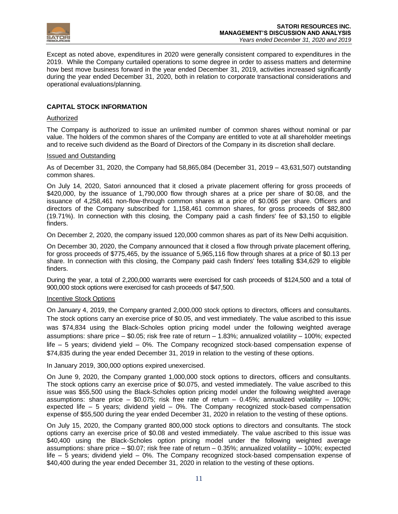

Except as noted above, expenditures in 2020 were generally consistent compared to expenditures in the 2019. While the Company curtailed operations to some degree in order to assess matters and determine how best move business forward in the year ended December 31, 2019, activities increased significantly during the year ended December 31, 2020, both in relation to corporate transactional considerations and operational evaluations/planning.

# **CAPITAL STOCK INFORMATION**

#### Authorized

The Company is authorized to issue an unlimited number of common shares without nominal or par value. The holders of the common shares of the Company are entitled to vote at all shareholder meetings and to receive such dividend as the Board of Directors of the Company in its discretion shall declare.

#### Issued and Outstanding

As of December 31, 2020, the Company had 58,865,084 (December 31, 2019 – 43,631,507) outstanding common shares.

On July 14, 2020, Satori announced that it closed a private placement offering for gross proceeds of \$420,000, by the issuance of 1,790,000 flow through shares at a price per share of \$0.08, and the issuance of 4,258,461 non-flow-through common shares at a price of \$0.065 per share. Officers and directors of the Company subscribed for 1,158,461 common shares, for gross proceeds of \$82,800 (19.71%). In connection with this closing, the Company paid a cash finders' fee of \$3,150 to eligible finders.

On December 2, 2020, the company issued 120,000 common shares as part of its New Delhi acquisition.

On December 30, 2020, the Company announced that it closed a flow through private placement offering, for gross proceeds of \$775,465, by the issuance of 5,965,116 flow through shares at a price of \$0.13 per share. In connection with this closing, the Company paid cash finders' fees totalling \$34,629 to eligible finders.

During the year, a total of 2,200,000 warrants were exercised for cash proceeds of \$124,500 and a total of 900,000 stock options were exercised for cash proceeds of \$47,500.

# Incentive Stock Options

On January 4, 2019, the Company granted 2,000,000 stock options to directors, officers and consultants. The stock options carry an exercise price of \$0.05, and vest immediately. The value ascribed to this issue was \$74,834 using the Black-Scholes option pricing model under the following weighted average assumptions: share price – \$0.05; risk free rate of return – 1.83%; annualized volatility – 100%; expected life – 5 years; dividend yield – 0%. The Company recognized stock-based compensation expense of \$74,835 during the year ended December 31, 2019 in relation to the vesting of these options.

In January 2019, 300,000 options expired unexercised.

On June 9, 2020, the Company granted 1,000,000 stock options to directors, officers and consultants. The stock options carry an exercise price of \$0.075, and vested immediately. The value ascribed to this issue was \$55,500 using the Black-Scholes option pricing model under the following weighted average assumptions: share price  $-$  \$0.075; risk free rate of return  $-$  0.45%; annualized volatility  $-$  100%; expected life – 5 years; dividend yield – 0%. The Company recognized stock-based compensation expense of \$55,500 during the year ended December 31, 2020 in relation to the vesting of these options.

On July 15, 2020, the Company granted 800,000 stock options to directors and consultants. The stock options carry an exercise price of \$0.08 and vested immediately. The value ascribed to this issue was \$40,400 using the Black-Scholes option pricing model under the following weighted average assumptions: share price – \$0.07; risk free rate of return – 0.35%; annualized volatility – 100%; expected life – 5 years; dividend yield – 0%. The Company recognized stock-based compensation expense of \$40,400 during the year ended December 31, 2020 in relation to the vesting of these options.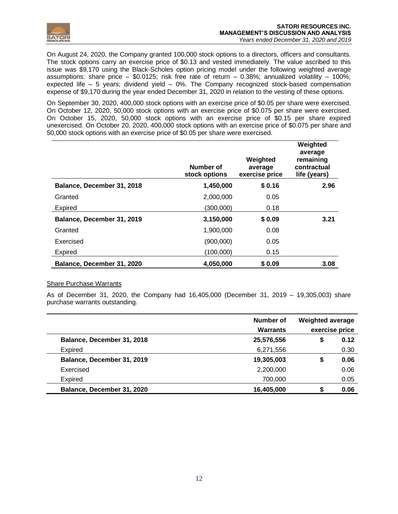

On August 24, 2020, the Company granted 100,000 stock options to a directors, officers and consultants. The stock options carry an exercise price of \$0.13 and vested immediately. The value ascribed to this issue was \$9,170 using the Black-Scholes option pricing model under the following weighted average assumptions: share price – \$0.0125; risk free rate of return – 0.38%; annualized volatility – 100%; expected life  $-5$  years; dividend yield  $-0\%$ . The Company recognized stock-based compensation expense of \$9,170 during the year ended December 31, 2020 in relation to the vesting of these options.

On September 30, 2020, 400,000 stock options with an exercise price of \$0.05 per share were exercised. On October 12, 2020, 50,000 stock options with an exercise price of \$0.075 per share were exercised. On October 15, 2020, 50,000 stock options with an exercise price of \$0.15 per share expired unexercised. On October 20, 2020, 400,000 stock options with an exercise price of \$0.075 per share and 50,000 stock options with an exercise price of \$0.05 per share were exercised.

|                            | Number of<br>stock options | Weighted<br>average<br>exercise price | Weighted<br>average<br>remaining<br>contractual<br>life (years) |
|----------------------------|----------------------------|---------------------------------------|-----------------------------------------------------------------|
| Balance, December 31, 2018 | 1,450,000                  | \$0.16                                | 2.96                                                            |
| Granted                    | 2,000,000                  | 0.05                                  |                                                                 |
| <b>Expired</b>             | (300,000)                  | 0.18                                  |                                                                 |
| Balance, December 31, 2019 | 3,150,000                  | \$0.09                                | 3.21                                                            |
| Granted                    | 1,900,000                  | 0.08                                  |                                                                 |
| Exercised                  | (900,000)                  | 0.05                                  |                                                                 |
| <b>Expired</b>             | (100,000)                  | 0.15                                  |                                                                 |
| Balance, December 31, 2020 | 4,050,000                  | \$0.09                                | 3.08                                                            |

# Share Purchase Warrants

As of December 31, 2020, the Company had 16,405,000 (December 31, 2019 – 19,305,003) share purchase warrants outstanding.

|                            | Number of<br><b>Warrants</b> | <b>Weighted average</b> | exercise price |
|----------------------------|------------------------------|-------------------------|----------------|
| Balance, December 31, 2018 | 25,576,556                   | \$                      | 0.12           |
| Expired                    | 6,271,556                    |                         | 0.30           |
| Balance, December 31, 2019 | 19,305,003                   | \$                      | 0.06           |
| Exercised                  | 2,200,000                    |                         | 0.06           |
| Expired                    | 700,000                      |                         | 0.05           |
| Balance, December 31, 2020 | 16,405,000                   | S                       | 0.06           |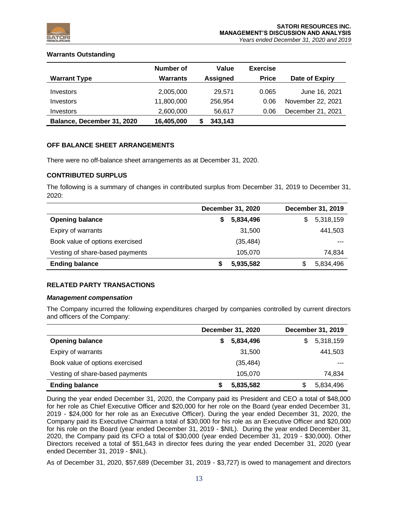

# **Warrants Outstanding**

|                            | Number of       | Value           | <b>Exercise</b> |                   |
|----------------------------|-----------------|-----------------|-----------------|-------------------|
| <b>Warrant Type</b>        | <b>Warrants</b> | <b>Assigned</b> | <b>Price</b>    | Date of Expiry    |
| Investors                  | 2,005,000       | 29.571          | 0.065           | June 16, 2021     |
| Investors                  | 11,800,000      | 256.954         | 0.06            | November 22, 2021 |
| Investors                  | 2,600,000       | 56,617          | 0.06            | December 21, 2021 |
| Balance, December 31, 2020 | 16,405,000      | 343,143         |                 |                   |

# **OFF BALANCE SHEET ARRANGEMENTS**

There were no off-balance sheet arrangements as at December 31, 2020.

# **CONTRIBUTED SURPLUS**

The following is a summary of changes in contributed surplus from December 31, 2019 to December 31, 2020:

|                                 | December 31, 2020 | December 31, 2019 |
|---------------------------------|-------------------|-------------------|
| <b>Opening balance</b>          | 5,834,496         | 5,318,159<br>S    |
| Expiry of warrants              | 31,500            | 441,503           |
| Book value of options exercised | (35, 484)         | $- - -$           |
| Vesting of share-based payments | 105,070           | 74,834            |
| <b>Ending balance</b>           | 5,935,582         | 5,834,496<br>S    |

# **RELATED PARTY TRANSACTIONS**

# *Management compensation*

The Company incurred the following expenditures charged by companies controlled by current directors and officers of the Company:

|                                 | December 31, 2020 | December 31, 2019 |
|---------------------------------|-------------------|-------------------|
| <b>Opening balance</b>          | 5,834,496         | 5,318,159<br>S    |
| Expiry of warrants              | 31,500            | 441,503           |
| Book value of options exercised | (35, 484)         | $- - -$           |
| Vesting of share-based payments | 105.070           | 74,834            |
| <b>Ending balance</b>           | 5,835,582         | 5,834,496<br>S    |

During the year ended December 31, 2020, the Company paid its President and CEO a total of \$48,000 for her role as Chief Executive Officer and \$20,000 for her role on the Board (year ended December 31, 2019 - \$24,000 for her role as an Executive Officer). During the year ended December 31, 2020, the Company paid its Executive Chairman a total of \$30,000 for his role as an Executive Officer and \$20,000 for his role on the Board (year ended December 31, 2019 - \$NIL). During the year ended December 31, 2020, the Company paid its CFO a total of \$30,000 (year ended December 31, 2019 - \$30,000). Other Directors received a total of \$51,643 in director fees during the year ended December 31, 2020 (year ended December 31, 2019 - \$NIL).

As of December 31, 2020, \$57,689 (December 31, 2019 - \$3,727) is owed to management and directors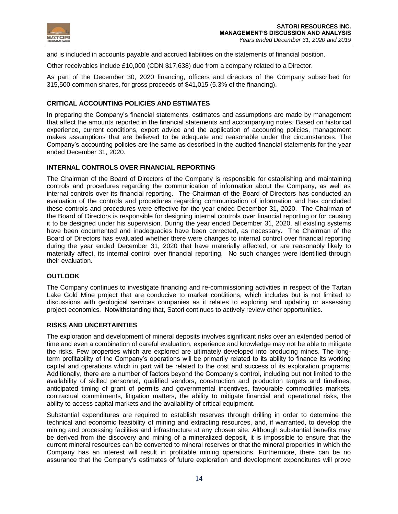

and is included in accounts payable and accrued liabilities on the statements of financial position.

Other receivables include £10,000 (CDN \$17,638) due from a company related to a Director.

As part of the December 30, 2020 financing, officers and directors of the Company subscribed for 315,500 common shares, for gross proceeds of \$41,015 (5.3% of the financing).

# **CRITICAL ACCOUNTING POLICIES AND ESTIMATES**

In preparing the Company's financial statements, estimates and assumptions are made by management that affect the amounts reported in the financial statements and accompanying notes. Based on historical experience, current conditions, expert advice and the application of accounting policies, management makes assumptions that are believed to be adequate and reasonable under the circumstances. The Company's accounting policies are the same as described in the audited financial statements for the year ended December 31, 2020.

# **INTERNAL CONTROLS OVER FINANCIAL REPORTING**

The Chairman of the Board of Directors of the Company is responsible for establishing and maintaining controls and procedures regarding the communication of information about the Company, as well as internal controls over its financial reporting. The Chairman of the Board of Directors has conducted an evaluation of the controls and procedures regarding communication of information and has concluded these controls and procedures were effective for the year ended December 31, 2020. The Chairman of the Board of Directors is responsible for designing internal controls over financial reporting or for causing it to be designed under his supervision. During the year ended December 31, 2020, all existing systems have been documented and inadequacies have been corrected, as necessary. The Chairman of the Board of Directors has evaluated whether there were changes to internal control over financial reporting during the year ended December 31, 2020 that have materially affected, or are reasonably likely to materially affect, its internal control over financial reporting. No such changes were identified through their evaluation.

# **OUTLOOK**

The Company continues to investigate financing and re-commissioning activities in respect of the Tartan Lake Gold Mine project that are conducive to market conditions, which includes but is not limited to discussions with geological services companies as it relates to exploring and updating or assessing project economics. Notwithstanding that, Satori continues to actively review other opportunities.

# **RISKS AND UNCERTAINTIES**

The exploration and development of mineral deposits involves significant risks over an extended period of time and even a combination of careful evaluation, experience and knowledge may not be able to mitigate the risks. Few properties which are explored are ultimately developed into producing mines. The longterm profitability of the Company's operations will be primarily related to its ability to finance its working capital and operations which in part will be related to the cost and success of its exploration programs. Additionally, there are a number of factors beyond the Company's control, including but not limited to the availability of skilled personnel, qualified vendors, construction and production targets and timelines, anticipated timing of grant of permits and governmental incentives, favourable commodities markets, contractual commitments, litigation matters, the ability to mitigate financial and operational risks, the ability to access capital markets and the availability of critical equipment.

Substantial expenditures are required to establish reserves through drilling in order to determine the technical and economic feasibility of mining and extracting resources, and, if warranted, to develop the mining and processing facilities and infrastructure at any chosen site. Although substantial benefits may be derived from the discovery and mining of a mineralized deposit, it is impossible to ensure that the current mineral resources can be converted to mineral reserves or that the mineral properties in which the Company has an interest will result in profitable mining operations. Furthermore, there can be no assurance that the Company's estimates of future exploration and development expenditures will prove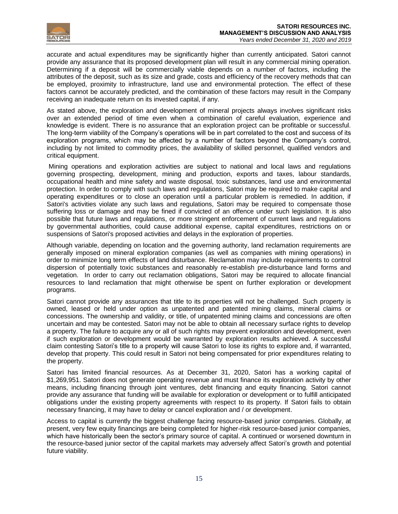

accurate and actual expenditures may be significantly higher than currently anticipated. Satori cannot provide any assurance that its proposed development plan will result in any commercial mining operation. Determining if a deposit will be commercially viable depends on a number of factors, including the attributes of the deposit, such as its size and grade, costs and efficiency of the recovery methods that can be employed, proximity to infrastructure, land use and environmental protection. The effect of these factors cannot be accurately predicted, and the combination of these factors may result in the Company receiving an inadequate return on its invested capital, if any.

As stated above, the exploration and development of mineral projects always involves significant risks over an extended period of time even when a combination of careful evaluation, experience and knowledge is evident. There is no assurance that an exploration project can be profitable or successful. The long-term viability of the Company's operations will be in part correlated to the cost and success of its exploration programs, which may be affected by a number of factors beyond the Company's control, including by not limited to commodity prices, the availability of skilled personnel, qualified vendors and critical equipment.

Mining operations and exploration activities are subject to national and local laws and regulations governing prospecting, development, mining and production, exports and taxes, labour standards, occupational health and mine safety and waste disposal, toxic substances, land use and environmental protection. In order to comply with such laws and regulations, Satori may be required to make capital and operating expenditures or to close an operation until a particular problem is remedied. In addition, if Satori's activities violate any such laws and regulations, Satori may be required to compensate those suffering loss or damage and may be fined if convicted of an offence under such legislation. It is also possible that future laws and regulations, or more stringent enforcement of current laws and regulations by governmental authorities, could cause additional expense, capital expenditures, restrictions on or suspensions of Satori's proposed activities and delays in the exploration of properties.

Although variable, depending on location and the governing authority, land reclamation requirements are generally imposed on mineral exploration companies (as well as companies with mining operations) in order to minimize long term effects of land disturbance. Reclamation may include requirements to control dispersion of potentially toxic substances and reasonably re-establish pre-disturbance land forms and vegetation. In order to carry out reclamation obligations, Satori may be required to allocate financial resources to land reclamation that might otherwise be spent on further exploration or development programs.

Satori cannot provide any assurances that title to its properties will not be challenged. Such property is owned, leased or held under option as unpatented and patented mining claims, mineral claims or concessions. The ownership and validity, or title, of unpatented mining claims and concessions are often uncertain and may be contested. Satori may not be able to obtain all necessary surface rights to develop a property. The failure to acquire any or all of such rights may prevent exploration and development, even if such exploration or development would be warranted by exploration results achieved. A successful claim contesting Satori's title to a property will cause Satori to lose its rights to explore and, if warranted, develop that property. This could result in Satori not being compensated for prior expenditures relating to the property.

Satori has limited financial resources. As at December 31, 2020, Satori has a working capital of \$1,269,951. Satori does not generate operating revenue and must finance its exploration activity by other means, including financing through joint ventures, debt financing and equity financing. Satori cannot provide any assurance that funding will be available for exploration or development or to fulfill anticipated obligations under the existing property agreements with respect to its property. If Satori fails to obtain necessary financing, it may have to delay or cancel exploration and / or development.

Access to capital is currently the biggest challenge facing resource-based junior companies. Globally, at present, very few equity financings are being completed for higher-risk resource-based junior companies, which have historically been the sector's primary source of capital. A continued or worsened downturn in the resource-based junior sector of the capital markets may adversely affect Satori's growth and potential future viability.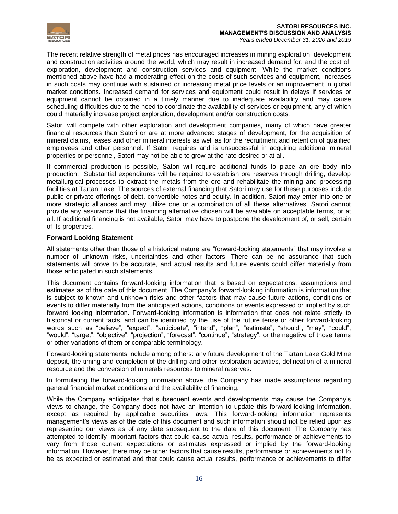

The recent relative strength of metal prices has encouraged increases in mining exploration, development and construction activities around the world, which may result in increased demand for, and the cost of, exploration, development and construction services and equipment. While the market conditions mentioned above have had a moderating effect on the costs of such services and equipment, increases in such costs may continue with sustained or increasing metal price levels or an improvement in global market conditions. Increased demand for services and equipment could result in delays if services or equipment cannot be obtained in a timely manner due to inadequate availability and may cause scheduling difficulties due to the need to coordinate the availability of services or equipment, any of which could materially increase project exploration, development and/or construction costs.

Satori will compete with other exploration and development companies, many of which have greater financial resources than Satori or are at more advanced stages of development, for the acquisition of mineral claims, leases and other mineral interests as well as for the recruitment and retention of qualified employees and other personnel. If Satori requires and is unsuccessful in acquiring additional mineral properties or personnel, Satori may not be able to grow at the rate desired or at all.

If commercial production is possible, Satori will require additional funds to place an ore body into production. Substantial expenditures will be required to establish ore reserves through drilling, develop metallurgical processes to extract the metals from the ore and rehabilitate the mining and processing facilities at Tartan Lake. The sources of external financing that Satori may use for these purposes include public or private offerings of debt, convertible notes and equity. In addition, Satori may enter into one or more strategic alliances and may utilize one or a combination of all these alternatives. Satori cannot provide any assurance that the financing alternative chosen will be available on acceptable terms, or at all. If additional financing is not available, Satori may have to postpone the development of, or sell, certain of its properties.

# **Forward Looking Statement**

All statements other than those of a historical nature are "forward-looking statements" that may involve a number of unknown risks, uncertainties and other factors. There can be no assurance that such statements will prove to be accurate, and actual results and future events could differ materially from those anticipated in such statements.

This document contains forward-looking information that is based on expectations, assumptions and estimates as of the date of this document. The Company's forward-looking information is information that is subject to known and unknown risks and other factors that may cause future actions, conditions or events to differ materially from the anticipated actions, conditions or events expressed or implied by such forward looking information. Forward-looking information is information that does not relate strictly to historical or current facts, and can be identified by the use of the future tense or other forward-looking words such as "believe", "expect", "anticipate", "intend", "plan", "estimate", "should", "may", "could", "would", "target", "objective", "projection", "forecast", "continue", "strategy", or the negative of those terms or other variations of them or comparable terminology.

Forward-looking statements include among others: any future development of the Tartan Lake Gold Mine deposit, the timing and completion of the drilling and other exploration activities, delineation of a mineral resource and the conversion of minerals resources to mineral reserves.

In formulating the forward-looking information above, the Company has made assumptions regarding general financial market conditions and the availability of financing.

While the Company anticipates that subsequent events and developments may cause the Company's views to change, the Company does not have an intention to update this forward-looking information, except as required by applicable securities laws. This forward-looking information represents management's views as of the date of this document and such information should not be relied upon as representing our views as of any date subsequent to the date of this document. The Company has attempted to identify important factors that could cause actual results, performance or achievements to vary from those current expectations or estimates expressed or implied by the forward-looking information. However, there may be other factors that cause results, performance or achievements not to be as expected or estimated and that could cause actual results, performance or achievements to differ